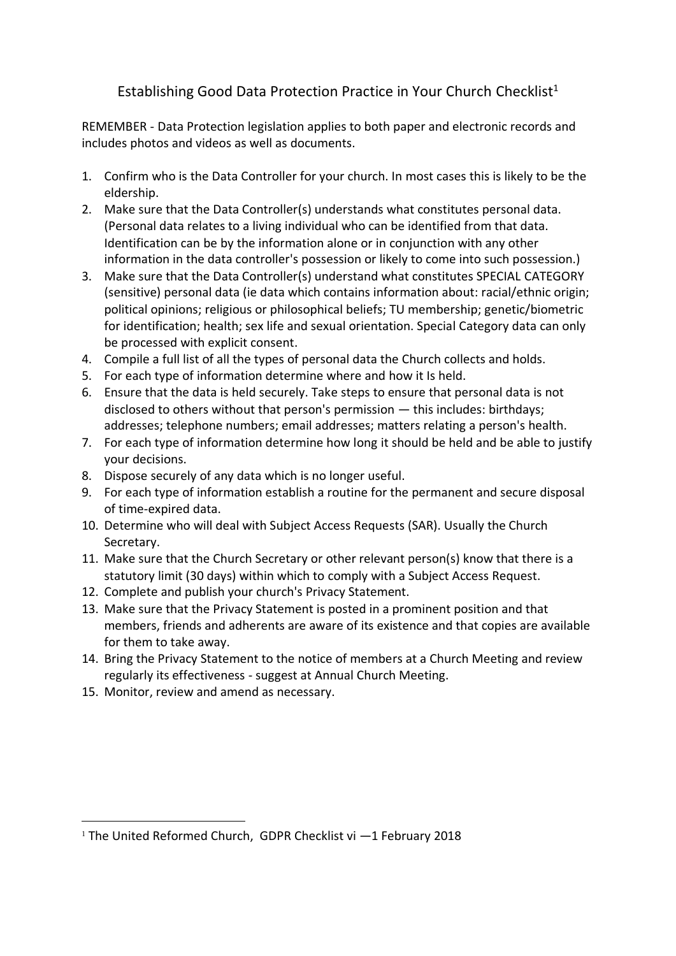# Establishing Good Data Protection Practice in Your Church Checklist<sup>1</sup>

REMEMBER - Data Protection legislation applies to both paper and electronic records and includes photos and videos as well as documents.

- 1. Confirm who is the Data Controller for your church. In most cases this is likely to be the eldership.
- 2. Make sure that the Data Controller(s) understands what constitutes personal data. (Personal data relates to a living individual who can be identified from that data. Identification can be by the information alone or in conjunction with any other information in the data controller's possession or likely to come into such possession.)
- 3. Make sure that the Data Controller(s) understand what constitutes SPECIAL CATEGORY (sensitive) personal data (ie data which contains information about: racial/ethnic origin; political opinions; religious or philosophical beliefs; TU membership; genetic/biometric for identification; health; sex life and sexual orientation. Special Category data can only be processed with explicit consent.
- 4. Compile a full list of all the types of personal data the Church collects and holds.
- 5. For each type of information determine where and how it Is held.
- 6. Ensure that the data is held securely. Take steps to ensure that personal data is not disclosed to others without that person's permission — this includes: birthdays; addresses; telephone numbers; email addresses; matters relating a person's health.
- 7. For each type of information determine how long it should be held and be able to justify your decisions.
- 8. Dispose securely of any data which is no longer useful.
- 9. For each type of information establish a routine for the permanent and secure disposal of time-expired data.
- 10. Determine who will deal with Subject Access Requests (SAR). Usually the Church Secretary.
- 11. Make sure that the Church Secretary or other relevant person(s) know that there is a statutory limit (30 days) within which to comply with a Subject Access Request.
- 12. Complete and publish your church's Privacy Statement.
- 13. Make sure that the Privacy Statement is posted in a prominent position and that members, friends and adherents are aware of its existence and that copies are available for them to take away.
- 14. Bring the Privacy Statement to the notice of members at a Church Meeting and review regularly its effectiveness - suggest at Annual Church Meeting.
- 15. Monitor, review and amend as necessary.

.

<sup>&</sup>lt;sup>1</sup> The United Reformed Church, GDPR Checklist vi -1 February 2018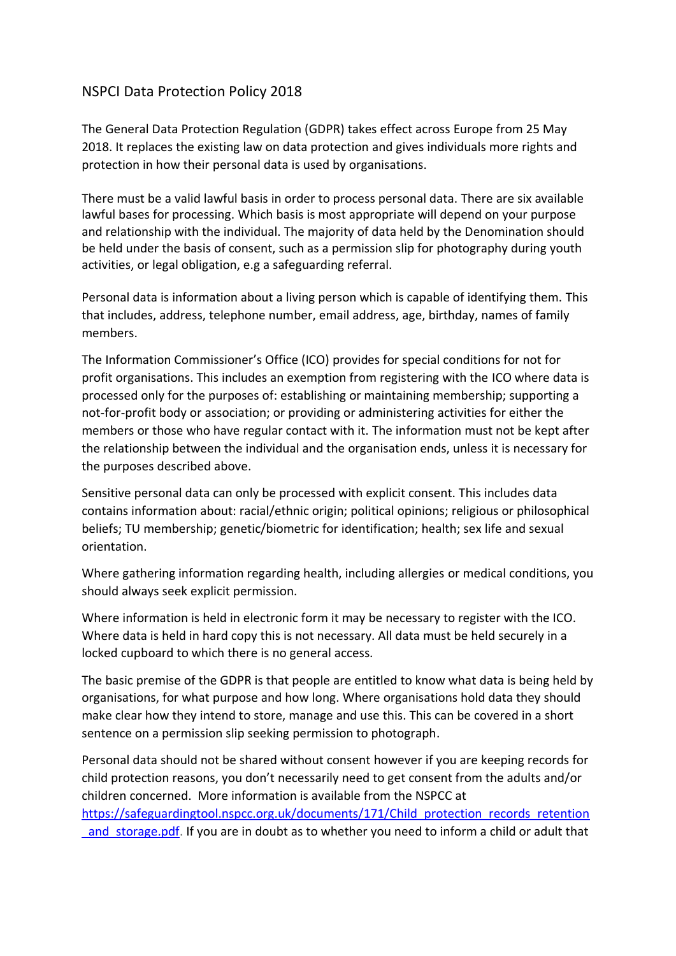# NSPCI Data Protection Policy 2018

The General Data Protection Regulation (GDPR) takes effect across Europe from 25 May 2018. It replaces the existing law on data protection and gives individuals more rights and protection in how their personal data is used by organisations.

There must be a valid lawful basis in order to process personal data. There are six available lawful bases for processing. Which basis is most appropriate will depend on your purpose and relationship with the individual. The majority of data held by the Denomination should be held under the basis of consent, such as a permission slip for photography during youth activities, or legal obligation, e.g a safeguarding referral.

Personal data is information about a living person which is capable of identifying them. This that includes, address, telephone number, email address, age, birthday, names of family members.

The Information Commissioner's Office (ICO) provides for special conditions for not for profit organisations. This includes an exemption from registering with the ICO where data is processed only for the purposes of: establishing or maintaining membership; supporting a not-for-profit body or association; or providing or administering activities for either the members or those who have regular contact with it. The information must not be kept after the relationship between the individual and the organisation ends, unless it is necessary for the purposes described above.

Sensitive personal data can only be processed with explicit consent. This includes data contains information about: racial/ethnic origin; political opinions; religious or philosophical beliefs; TU membership; genetic/biometric for identification; health; sex life and sexual orientation.

Where gathering information regarding health, including allergies or medical conditions, you should always seek explicit permission.

Where information is held in electronic form it may be necessary to register with the ICO. Where data is held in hard copy this is not necessary. All data must be held securely in a locked cupboard to which there is no general access.

The basic premise of the GDPR is that people are entitled to know what data is being held by organisations, for what purpose and how long. Where organisations hold data they should make clear how they intend to store, manage and use this. This can be covered in a short sentence on a permission slip seeking permission to photograph.

Personal data should not be shared without consent however if you are keeping records for child protection reasons, you don't necessarily need to get consent from the adults and/or children concerned. More information is available from the NSPCC at [https://safeguardingtool.nspcc.org.uk/documents/171/Child\\_protection\\_records\\_retention](https://safeguardingtool.nspcc.org.uk/documents/171/Child_protection_records_retention_and_storage.pdf) and storage.pdf. If you are in doubt as to whether you need to inform a child or adult that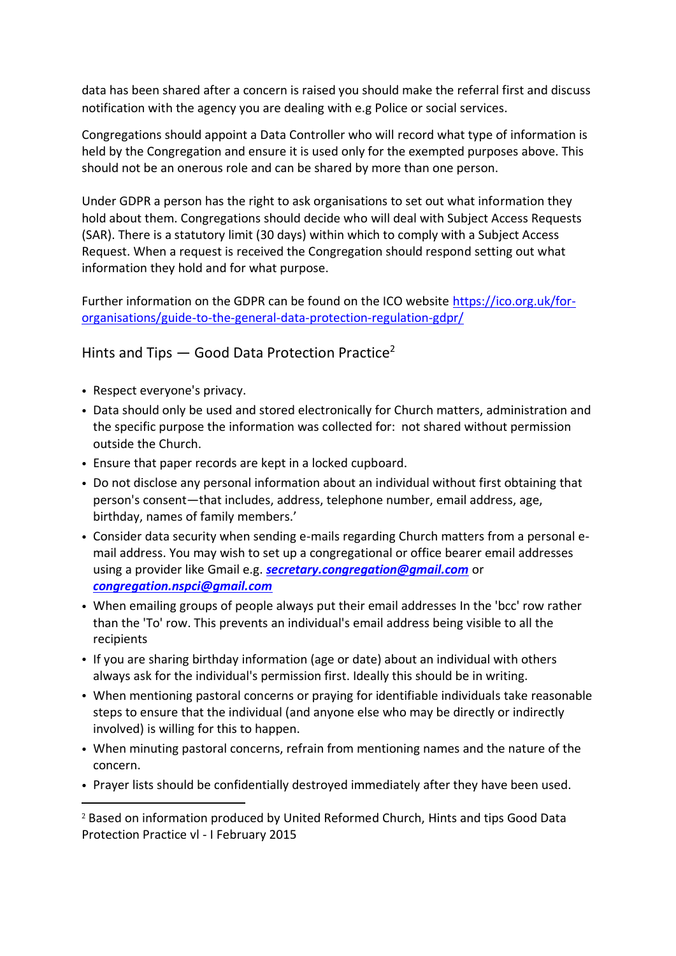data has been shared after a concern is raised you should make the referral first and discuss notification with the agency you are dealing with e.g Police or social services.

Congregations should appoint a Data Controller who will record what type of information is held by the Congregation and ensure it is used only for the exempted purposes above. This should not be an onerous role and can be shared by more than one person.

Under GDPR a person has the right to ask organisations to set out what information they hold about them. Congregations should decide who will deal with Subject Access Requests (SAR). There is a statutory limit (30 days) within which to comply with a Subject Access Request. When a request is received the Congregation should respond setting out what information they hold and for what purpose.

Further information on the GDPR can be found on the ICO website [https://ico.org.uk/for](https://ico.org.uk/for-organisations/guide-to-the-general-data-protection-regulation-gdpr/)[organisations/guide-to-the-general-data-protection-regulation-gdpr/](https://ico.org.uk/for-organisations/guide-to-the-general-data-protection-regulation-gdpr/)

Hints and Tips  $-$  Good Data Protection Practice<sup>2</sup>

• Respect everyone's privacy.

1

- Data should only be used and stored electronically for Church matters, administration and the specific purpose the information was collected for: not shared without permission outside the Church.
- Ensure that paper records are kept in a locked cupboard.
- Do not disclose any personal information about an individual without first obtaining that person's consent—that includes, address, telephone number, email address, age, birthday, names of family members.'
- Consider data security when sending e-mails regarding Church matters from a personal email address. You may wish to set up a congregational or office bearer email addresses using a provider like Gmail e.g. *[secretary.congregation@gmail.com](mailto:secretary.congregation@gmail.com)* or *[congregation.nspci@gmail.com](mailto:congregation.nspci@gmail.com)*
- When emailing groups of people always put their email addresses In the 'bcc' row rather than the 'To' row. This prevents an individual's email address being visible to all the recipients
- If you are sharing birthday information (age or date) about an individual with others always ask for the individual's permission first. Ideally this should be in writing.
- When mentioning pastoral concerns or praying for identifiable individuals take reasonable steps to ensure that the individual (and anyone else who may be directly or indirectly involved) is willing for this to happen.
- When minuting pastoral concerns, refrain from mentioning names and the nature of the concern.
- Prayer lists should be confidentially destroyed immediately after they have been used.

<sup>2</sup> Based on information produced by United Reformed Church, Hints and tips Good Data Protection Practice vl - I February 2015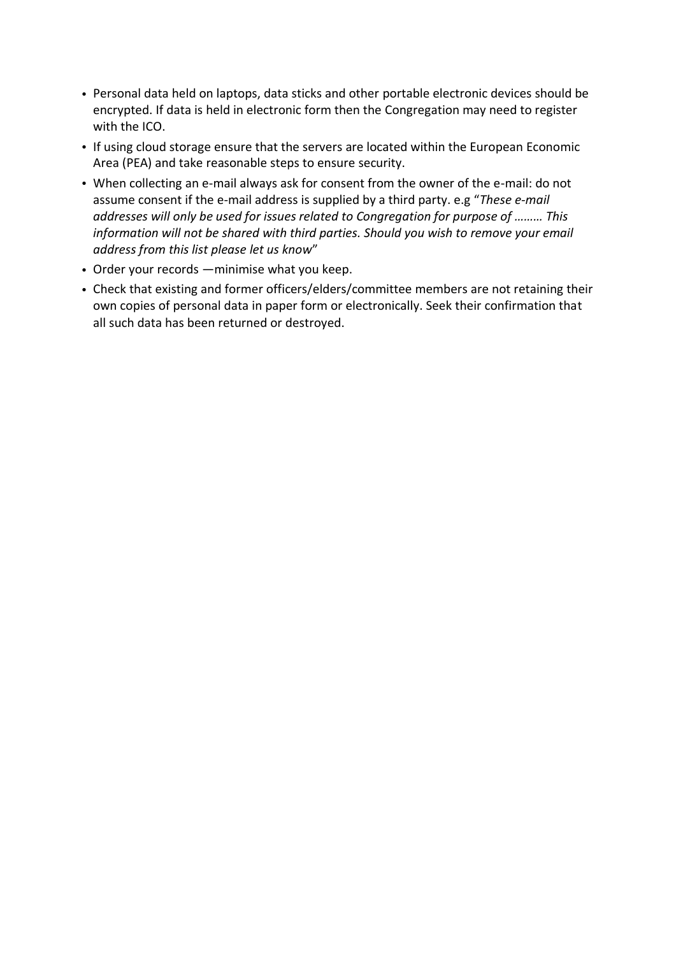- Personal data held on laptops, data sticks and other portable electronic devices should be encrypted. If data is held in electronic form then the Congregation may need to register with the ICO.
- If using cloud storage ensure that the servers are located within the European Economic Area (PEA) and take reasonable steps to ensure security.
- When collecting an e-mail always ask for consent from the owner of the e-mail: do not assume consent if the e-mail address is supplied by a third party. e.g "*These e-mail addresses will only be used for issues related to Congregation for purpose of ……… This information will not be shared with third parties. Should you wish to remove your email address from this list please let us know*"
- Order your records —minimise what you keep.
- Check that existing and former officers/elders/committee members are not retaining their own copies of personal data in paper form or electronically. Seek their confirmation that all such data has been returned or destroyed.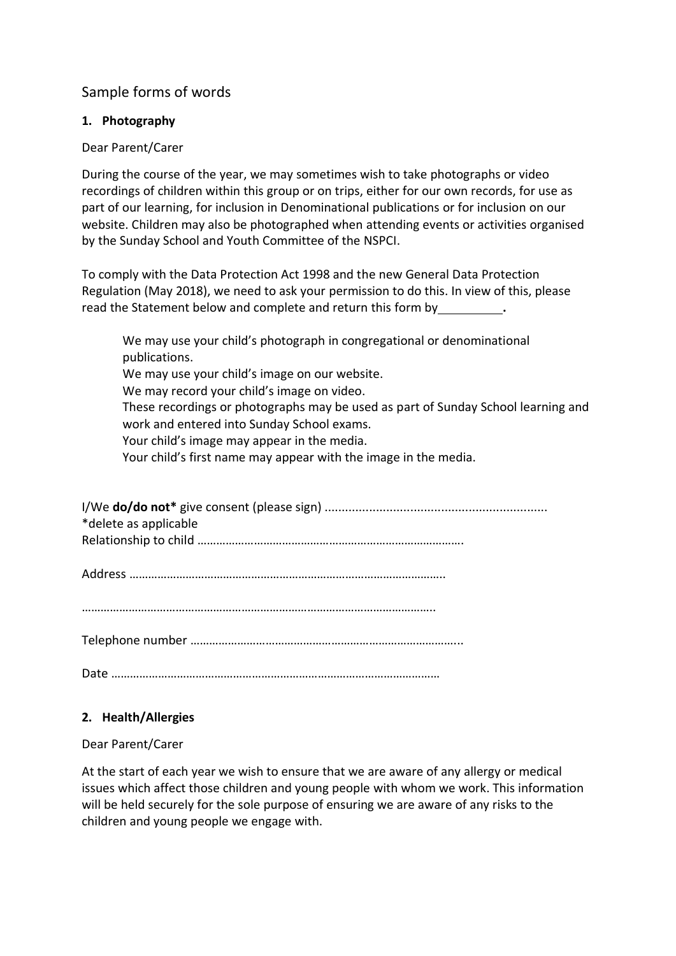# Sample forms of words

## **1. Photography**

#### Dear Parent/Carer

During the course of the year, we may sometimes wish to take photographs or video recordings of children within this group or on trips, either for our own records, for use as part of our learning, for inclusion in Denominational publications or for inclusion on our website. Children may also be photographed when attending events or activities organised by the Sunday School and Youth Committee of the NSPCI.

To comply with the Data Protection Act 1998 and the new General Data Protection Regulation (May 2018), we need to ask your permission to do this. In view of this, please read the Statement below and complete and return this form by **.** 

We may use your child's photograph in congregational or denominational publications. We may use your child's image on our website. We may record your child's image on video. These recordings or photographs may be used as part of Sunday School learning and work and entered into Sunday School exams. Your child's image may appear in the media. Your child's first name may appear with the image in the media.

| *delete as applicable |
|-----------------------|
|                       |

Address ………………………………………………………………………………………..

…………………………………………………………………………………………………..

Telephone number …………………………………………………………………………...

Date ……………………………………………………………………………………………

## **2. Health/Allergies**

## Dear Parent/Carer

At the start of each year we wish to ensure that we are aware of any allergy or medical issues which affect those children and young people with whom we work. This information will be held securely for the sole purpose of ensuring we are aware of any risks to the children and young people we engage with.